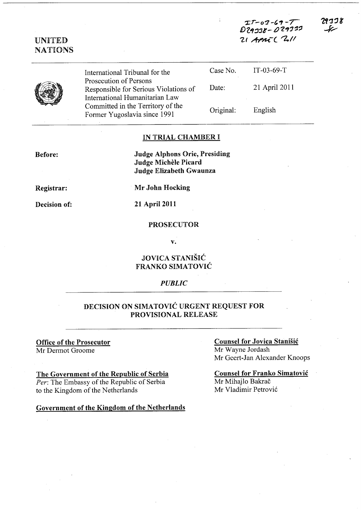$II - 02 - 69 - 7$  $D29338 - D29332$ 21 APMT ( 211

29ココ 8



**UNITED NATIONS** 

> $IT-03-69-T$ Case No. International Tribunal for the Prosecution of Persons 21 April 2011 Date: Responsible for Serious Violations of International Humanitarian Law Committed in the Territory of the English Original: Former Yugoslavia since 1991

## IN TRIAL CHAMBER I

**Before:** 

**Judge Alphons Orie, Presiding Judge Michèle Picard Judge Elizabeth Gwaunza** 

Registrar:

**Decision of:** 

Mr John Hocking

21 April 2011

#### **PROSECUTOR**

 $\mathbf{v}$ .

### **JOVICA STANIŠIĆ FRANKO SIMATOVIĆ**

#### **PUBLIC**

### DECISION ON SIMATOVIĆ URGENT REQUEST FOR PROVISIONAL RELEASE

#### **Office of the Prosecutor** Mr Dermot Groome

The Government of the Republic of Serbia Per: The Embassy of the Republic of Serbia to the Kingdom of the Netherlands

#### Government of the Kingdom of the Netherlands

### **Counsel for Jovica Stanišić** Mr Wayne Jordash Mr Geert-Jan Alexander Knoops

#### **Counsel for Franko Simatović** Mr Mihajlo Bakrač Mr Vladimir Petrović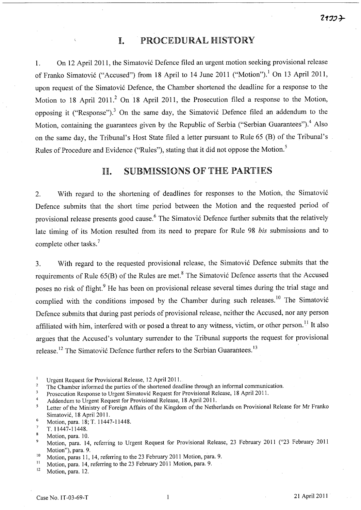# I. PROCEDURAL HISTORY

1. On 12 April 2011, the Simatović Defence filed an urgent motion seeking provisional release of Franko Simatović ("Accused") from 18 April to 14 June 2011 ("Motion").<sup>1</sup> On 13 April 2011, upon request of the Simatović Defence, the Chamber shortened the deadline for a response to the Motion to 18 April 2011.<sup>2</sup> On 18 April 2011, the Prosecution filed a response to the Motion, opposing it ("Response").<sup>3</sup> On the same day, the Simatović Defence filed an addendum to the Motion, containing the guarantees given by the Republic of Serbia ("Serbian Guarantees").<sup>4</sup> Also on the same day, the Tribunal's Host State filed a letter pursuant to Rule 65 (B) of the Tribunal's Rules of Procedure and Evidence ("Rules"), stating that it did not oppose the Motion.<sup>5</sup>

# llI. SUBMISSIONS OF THE PARTIES

2. With regard to the shortening of deadlines for responses to the Motion, the Simatović Defence submits that the short time period between the Motion and the requested period of provisional release presents good cause.<sup>6</sup> The Simatović Defence further submits that the relatively late timing of its Motion resulted from its need to prepare for Rule 98 *bis* submissions and to complete other tasks.<sup>7</sup>

3. With regard to the requested provisional release, the Simatovi6 Defence submits that the requirements of Rule 65(B) of the Rules are met.<sup>8</sup> The Simatović Defence asserts that the Accused poses no risk of flight.<sup>9</sup> He has been on provisional release several times during the trial stage and complied with the conditions imposed by the Chamber during such releases.<sup>10</sup> The Simatović Defence submits that during past periods of provisional release, neither the Accused, nor any person affiliated with him, interfered with or posed a threat to any witness, victim, or other person.<sup>11</sup> It also argues that the Accused's voluntary surrender to the Tribunal supports the request for provisional release.<sup>12</sup> The Simatović Defence further refers to the Serbian Guarantees.<sup>13</sup>

Motion, para. 12.

 $\mathbf{1}$ Urgent Request for Provisional Release, 12 April 2011.

<sup>2</sup>  The Chamber informed the parties of the shortened deadline through an informal communication.

<sup>3</sup> Prosecution Response to Urgent Simatovic Request for Provisional Release, 18 April 2011.

<sup>4</sup>  Addendum to Urgent Request for Provisional Release, 18 April 2011.

Letter of the Ministry of Foreign Affairs of the Kingdom of the Netherlands on Provisional Release for Mr Franko 5 Simatovic, 18 April 2011.

 $\boldsymbol{6}$ Motion, para. 18; T. 11447-11448.

 $\overline{7}$ T. 11447-11448.

<sup>8</sup> Motion, para. 10.

Motion, para. 14, referring to Urgent Request for Provisional Release, 23 February 2011 ("23 February 2011  $\overline{9}$ Motion"), para. 9.

<sup>&</sup>lt;sup>10</sup> Motion, paras 11, 14, referring to the 23 February 2011 Motion, para. 9.<br><sup>11</sup> Motion, para. 14, referring to the 23 February 2011 Motion, para. 9.

<sup>&</sup>lt;sup>11</sup> Motion, para. 14, referring to the 23 February 2011 Motion, para. 9.<br> $\frac{12}{12}$  Motion, para. 12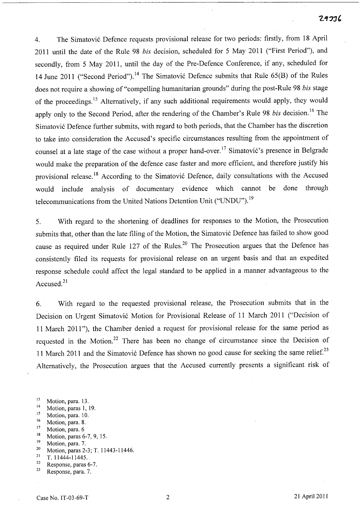4. The Simatovi6 Defence requests provisional release for two periods: firstly, from 18 April 2011 until the date of the Rule 98 *bis* decision, scheduled for 5 May 2011 ("First Period"), and secondly, from 5 May 2011, until the day of the Pre-Defence Conference, if any, scheduled for 14 June 2011 ("Second Period").<sup>14</sup> The Simatović Defence submits that Rule 65(B) of the Rules does not require a showing of "compelling humanitarian grounds" during the post-Rule 98 *bis* stage of the proceedings.<sup>15</sup> Alternatively, if any such additional requirements would apply, they would apply only to the Second Period, after the rendering of the Chamber's Rule 98 *bis* decision.<sup>16</sup> The Simatovi6 Defence further submits, with regard to both periods, that the Chamber has the discretion to take into consideration the Accused's specific circumstances resulting from the appointment of counsel at a late stage of the case without a proper hand-over.<sup>17</sup> Simatović's presence in Belgrade would make the preparation of the defence case faster and more efficient, and therefore justify his provisional release.<sup>18</sup> According to the Simatović Defence, daily consultations with the Accused would include analysis of documentary evidence which cannot be done through telecommunications from the United Nations Detention Unit ("UNDU").<sup>19</sup>

5. With regard to the shortening of deadlines for responses to the Motion, the Prosecution submits that, other than the late filing of the Motion, the Simatović Defence has failed to show good cause as required under Rule 127 of the Rules.<sup>20</sup> The Prosecution argues that the Defence has consistently filed its requests for provisional release on an urgent basis and that an expedited response schedule could affect the legal standard to be applied in a manner advantageous to the Accused.<sup>21</sup>

6. With regard to the requested provisional release, the Prosecution submits that in the Decision on Urgent Simatović Motion for Provisional Release of 11 March 2011 ("Decision of 11 March 2011"), the Chamber denied a request for provisional release for the same period as requested in the Motion.<sup>22</sup> There has been no change of circumstance since the Decision of 11 March 2011 and the Simatović Defence has shown no good cause for seeking the same relief.<sup>23</sup> Alternatively, the Prosecution argues that the Accused currently presents a significant risk of

- $14$  Motion, paras 1, 19.
- <sup>15</sup> Motion, para. 10.
- <sup>16</sup> Motion, para. 8.
- <sup>17</sup> Motion, para. 6
- 18 Motion, paras 6-7, 9,15.
- <sup>19</sup> Motion, para. 7.
- <sup>20</sup> Motion, paras 2-3; T. 11443-11446.<br><sup>21</sup> T. 11444, 11445
- 21 T. 11444-11445.
- 22 Response, paras 6-7.
- $23$  Response, para. 7.

<sup>13</sup> Motion, para. 13.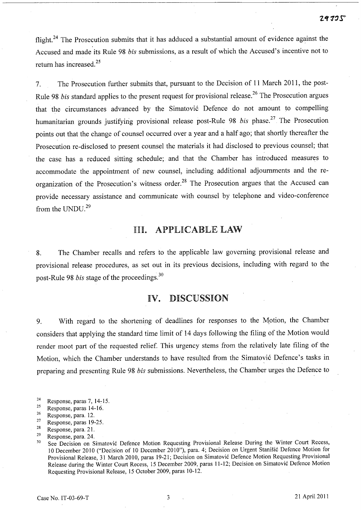flight.<sup>24</sup> The Prosecution submits that it has adduced a substantial amount of evidence against the Accused and made its Rule 98 *bis* submissions, as a result of which the Accused's incentive not to return has increased. <sup>25</sup>

7. The Prosecution further submits that, pursuant to the Decision of 11 March 2011, the post-Rule 98 *bis* standard applies to the present request for provisional release.<sup>26</sup> The Prosecution argues that the circumstances advanced by the Simatović Defence do not amount to compelling humanitarian grounds justifying provisional release post-Rule 98 *bis* phase. 27 The Prosecution points out that the change of counsel occurred over a year and a half ago; that shortly thereafter the Prosecution re-disclosed to present counsel the materials it had disclosed to previous counsel; that the case. has a reduced sitting schedule; and that the Chamber has introduced measures to accommodate the appointment of new counsel, including additional adjournments and the reorganization of the Prosecution's witness order.<sup>28</sup> The Prosecution argues that the Accused can provide necessary assistance and communicate with counsel by telephone and video-conference from the UNDU.<sup>29</sup>

# III. APPLICABLE LAW

8. The Chamber recalls and refers to the applicable law governing provisional release and provisional release procedures, as set out in its previous decisions, including with regard to the post-Rule 98 *bis* stage of the proceedings.3o

# IV. DISCUSSION

9. With regard to the shortening of deadlines for responses to the Motion, the Chamber considers that applying the standard time limit of 14 days following the filing of the Motion would render moot part of the requested relief. This urgency stems from the relatively late filing of the Motion, which the Chamber understands to have resulted from the Simatović Defence's tasks in preparing and presenting Rule 98 *bis* submissions. Nevertheless, the Chamber urges the Defence to

<sup>&</sup>lt;sup>24</sup> Response, paras 7, 14-15.<br><sup>25</sup> Pesponse, paras  $14-16$ .

Response, paras 14-16.

<sup>26</sup> Response, para. 12.

 $27$  Response, paras 19-25.

<sup>28</sup> Response, para. 21.

 $29$  Response, para. 24.

<sup>&</sup>lt;sup>30</sup> See Decision on Simatović Defence Motion Requesting Provisional Release During the Winter Court Recess, 10 December 2010 ("Decision of 10 December 2010"), para. 4; Decision on Urgent Stanišić Defence Motion for Provisional Release, 31 March 2010, paras 19-21; Decision on Simatovi6 Defence Motion Requesting Provisional Release during the Winter Court Recess, 15 December 2009, paras 11-12; Decision on Simatović Defence Motion Requesting Provisional Release, 15 October 2009, paras 10-12.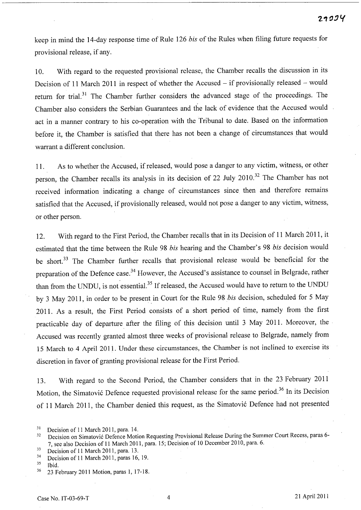keep in mind the 14-day response time of Rule 126 *bis* of the Rules when filing future requests for provisional release, if any.

10. With regard to the requested provisional release, the Chamber recalls the discussion in its Decision of 11 March 2011 in respect of whether the Accused  $-$  if provisionally released  $-$  would return for trial.<sup>31</sup> The Chamber further considers the advanced stage of the proceedings. The Chamber also considers the Serbian Guarantees and the lack of evidence that the Accused would act in a manner contrary to his co-operation with the Tribunal to date. Based on the information before it, the Chamber is satisfied that there has not been a change of circumstances that would warrant a different conclusion.

11. As to whether the Accused, if released, would pose a danger to any victim, witness, or other person, the Chamber recalls its analysis in its decision of 22 July 2010.<sup>32</sup> The Chamber has not received information indicating a change of circumstances since then and therefore remains satisfied that the Accused, if provisionally released, would not pose a danger to any victim, witness, or other person.

12. With regard to the First Period, the Chamber recalls that in its Decision of 11 March 2011, it estimated that the time between the Rule 98 *bis* hearing and the Chamber's 98 *bis* decision would be short.<sup>33</sup> The Chamber further recalls that provisional release would be beneficial for the preparation of the Defence case.<sup>34</sup> However, the Accused's assistance to counsel in Belgrade, rather than from the UNDU, is not essential.<sup>35</sup> If released, the Accused would have to return to the UNDU by 3 May 2011, in order to be presentin Court for the Rule 98 *bis* decision, scheduled for 5 May 2011. As a result, the First Period consists of a short period of time, namely from the first practicable day of departure after the filing of this decision until 3 May 2011. Moreover, the Accused was recently granted almost three weeks of provisional release to Belgrade, namely from 15 March to 4 April 2011. Under these circumstances, the Chamber is not inclined to exercise its discretion in favor of granting provisional release for the First Period.

13. With regard to the Second Period, the Chamber considers that in the 23 February 2011 Motion, the Simatović Defence requested provisional release for the same period.<sup>36</sup> In its Decision of 11 March 2011, the Chamber denied this request, as the Simatovic Defence had not presented

 $31$  Decision of 11 March 2011, para. 14.<br> $32$  Decision on Simatović Defence Motion

<sup>32</sup> Decision on Simatovic Defence Motion Requesting Provisional Release During the Summer Court Recess, paras 6- 7, see also Decision of 11. March 2011, para. 15; Decision of 10 December 2010, para. 6.

Decision of 11 March 2011, para. 13.

 $3^3$  Decision of 11 March 2011, paras 16, 19.

Ibid.

<sup>36 23</sup> February 2011 Motion, paras 1, 17-18.